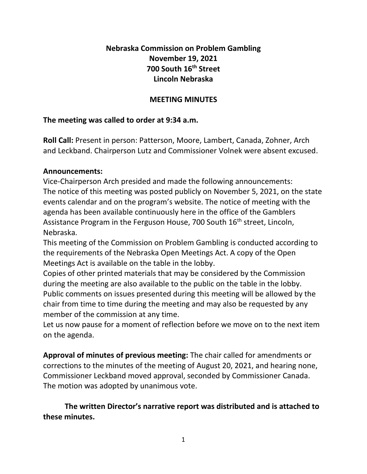# **Nebraska Commission on Problem Gambling November 19, 2021 700 South 16th Street Lincoln Nebraska**

### **MEETING MINUTES**

### **The meeting was called to order at 9:34 a.m.**

**Roll Call:** Present in person: Patterson, Moore, Lambert, Canada, Zohner, Arch and Leckband. Chairperson Lutz and Commissioner Volnek were absent excused.

### **Announcements:**

Vice-Chairperson Arch presided and made the following announcements: The notice of this meeting was posted publicly on November 5, 2021, on the state events calendar and on the program's website. The notice of meeting with the agenda has been available continuously here in the office of the Gamblers Assistance Program in the Ferguson House, 700 South 16<sup>th</sup> street, Lincoln, Nebraska.

This meeting of the Commission on Problem Gambling is conducted according to the requirements of the Nebraska Open Meetings Act. A copy of the Open Meetings Act is available on the table in the lobby.

Copies of other printed materials that may be considered by the Commission during the meeting are also available to the public on the table in the lobby. Public comments on issues presented during this meeting will be allowed by the chair from time to time during the meeting and may also be requested by any member of the commission at any time.

Let us now pause for a moment of reflection before we move on to the next item on the agenda.

**Approval of minutes of previous meeting:** The chair called for amendments or corrections to the minutes of the meeting of August 20, 2021, and hearing none, Commissioner Leckband moved approval, seconded by Commissioner Canada. The motion was adopted by unanimous vote.

**The written Director's narrative report was distributed and is attached to these minutes.**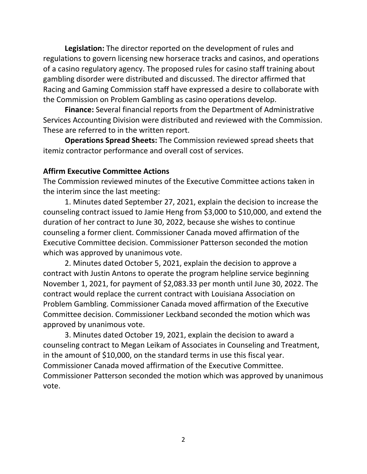**Legislation:** The director reported on the development of rules and regulations to govern licensing new horserace tracks and casinos, and operations of a casino regulatory agency. The proposed rules for casino staff training about gambling disorder were distributed and discussed. The director affirmed that Racing and Gaming Commission staff have expressed a desire to collaborate with the Commission on Problem Gambling as casino operations develop.

**Finance:** Several financial reports from the Department of Administrative Services Accounting Division were distributed and reviewed with the Commission. These are referred to in the written report.

**Operations Spread Sheets:** The Commission reviewed spread sheets that itemiz contractor performance and overall cost of services.

#### **Affirm Executive Committee Actions**

The Commission reviewed minutes of the Executive Committee actions taken in the interim since the last meeting:

1. Minutes dated September 27, 2021, explain the decision to increase the counseling contract issued to Jamie Heng from \$3,000 to \$10,000, and extend the duration of her contract to June 30, 2022, because she wishes to continue counseling a former client. Commissioner Canada moved affirmation of the Executive Committee decision. Commissioner Patterson seconded the motion which was approved by unanimous vote.

2. Minutes dated October 5, 2021, explain the decision to approve a contract with Justin Antons to operate the program helpline service beginning November 1, 2021, for payment of \$2,083.33 per month until June 30, 2022. The contract would replace the current contract with Louisiana Association on Problem Gambling. Commissioner Canada moved affirmation of the Executive Committee decision. Commissioner Leckband seconded the motion which was approved by unanimous vote.

3. Minutes dated October 19, 2021, explain the decision to award a counseling contract to Megan Leikam of Associates in Counseling and Treatment, in the amount of \$10,000, on the standard terms in use this fiscal year. Commissioner Canada moved affirmation of the Executive Committee. Commissioner Patterson seconded the motion which was approved by unanimous vote.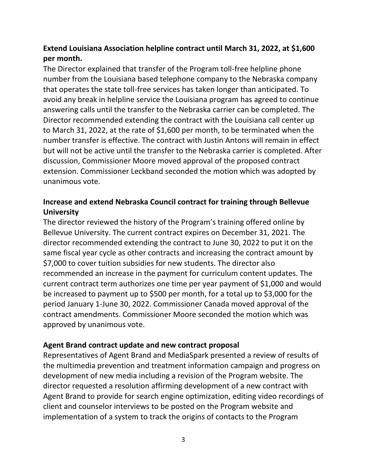# **Extend Louisiana Association helpline contract until March 31, 2022, at \$1,600 per month.**

The Director explained that transfer of the Program toll-free helpline phone number from the Louisiana based telephone company to the Nebraska company that operates the state toll-free services has taken longer than anticipated. To avoid any break in helpline service the Louisiana program has agreed to continue answering calls until the transfer to the Nebraska carrier can be completed. The Director recommended extending the contract with the Louisiana call center up to March 31, 2022, at the rate of \$1,600 per month, to be terminated when the number transfer is effective. The contract with Justin Antons will remain in effect but will not be active until the transfer to the Nebraska carrier is completed. After discussion, Commissioner Moore moved approval of the proposed contract extension. Commissioner Leckband seconded the motion which was adopted by unanimous vote.

## **Increase and extend Nebraska Council contract for training through Bellevue University**

The director reviewed the history of the Program's training offered online by Bellevue University. The current contract expires on December 31, 2021. The director recommended extending the contract to June 30, 2022 to put it on the same fiscal year cycle as other contracts and increasing the contract amount by \$7,000 to cover tuition subsidies for new students. The director also recommended an increase in the payment for curriculum content updates. The current contract term authorizes one time per year payment of \$1,000 and would be increased to payment up to \$500 per month, for a total up to \$3,000 for the period January 1-June 30, 2022. Commissioner Canada moved approval of the contract amendments. Commissioner Moore seconded the motion which was approved by unanimous vote.

### **Agent Brand contract update and new contract proposal**

Representatives of Agent Brand and MediaSpark presented a review of results of the multimedia prevention and treatment information campaign and progress on development of new media including a revision of the Program website. The director requested a resolution affirming development of a new contract with Agent Brand to provide for search engine optimization, editing video recordings of client and counselor interviews to be posted on the Program website and implementation of a system to track the origins of contacts to the Program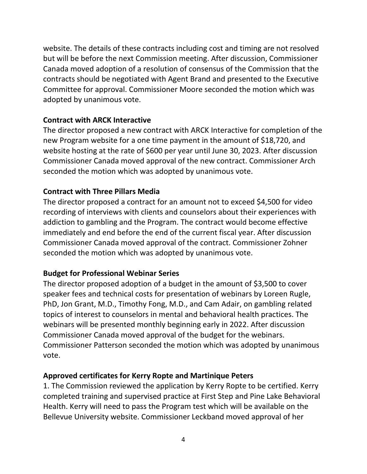website. The details of these contracts including cost and timing are not resolved but will be before the next Commission meeting. After discussion, Commissioner Canada moved adoption of a resolution of consensus of the Commission that the contracts should be negotiated with Agent Brand and presented to the Executive Committee for approval. Commissioner Moore seconded the motion which was adopted by unanimous vote.

#### **Contract with ARCK Interactive**

The director proposed a new contract with ARCK Interactive for completion of the new Program website for a one time payment in the amount of \$18,720, and website hosting at the rate of \$600 per year until June 30, 2023. After discussion Commissioner Canada moved approval of the new contract. Commissioner Arch seconded the motion which was adopted by unanimous vote.

### **Contract with Three Pillars Media**

The director proposed a contract for an amount not to exceed \$4,500 for video recording of interviews with clients and counselors about their experiences with addiction to gambling and the Program. The contract would become effective immediately and end before the end of the current fiscal year. After discussion Commissioner Canada moved approval of the contract. Commissioner Zohner seconded the motion which was adopted by unanimous vote.

### **Budget for Professional Webinar Series**

The director proposed adoption of a budget in the amount of \$3,500 to cover speaker fees and technical costs for presentation of webinars by Loreen Rugle, PhD, Jon Grant, M.D., Timothy Fong, M.D., and Cam Adair, on gambling related topics of interest to counselors in mental and behavioral health practices. The webinars will be presented monthly beginning early in 2022. After discussion Commissioner Canada moved approval of the budget for the webinars. Commissioner Patterson seconded the motion which was adopted by unanimous vote.

#### **Approved certificates for Kerry Ropte and Martinique Peters**

1. The Commission reviewed the application by Kerry Ropte to be certified. Kerry completed training and supervised practice at First Step and Pine Lake Behavioral Health. Kerry will need to pass the Program test which will be available on the Bellevue University website. Commissioner Leckband moved approval of her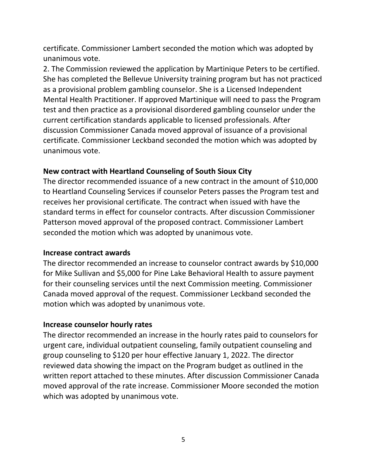certificate. Commissioner Lambert seconded the motion which was adopted by unanimous vote.

2. The Commission reviewed the application by Martinique Peters to be certified. She has completed the Bellevue University training program but has not practiced as a provisional problem gambling counselor. She is a Licensed Independent Mental Health Practitioner. If approved Martinique will need to pass the Program test and then practice as a provisional disordered gambling counselor under the current certification standards applicable to licensed professionals. After discussion Commissioner Canada moved approval of issuance of a provisional certificate. Commissioner Leckband seconded the motion which was adopted by unanimous vote.

### **New contract with Heartland Counseling of South Sioux City**

The director recommended issuance of a new contract in the amount of \$10,000 to Heartland Counseling Services if counselor Peters passes the Program test and receives her provisional certificate. The contract when issued with have the standard terms in effect for counselor contracts. After discussion Commissioner Patterson moved approval of the proposed contract. Commissioner Lambert seconded the motion which was adopted by unanimous vote.

### **Increase contract awards**

The director recommended an increase to counselor contract awards by \$10,000 for Mike Sullivan and \$5,000 for Pine Lake Behavioral Health to assure payment for their counseling services until the next Commission meeting. Commissioner Canada moved approval of the request. Commissioner Leckband seconded the motion which was adopted by unanimous vote.

### **Increase counselor hourly rates**

The director recommended an increase in the hourly rates paid to counselors for urgent care, individual outpatient counseling, family outpatient counseling and group counseling to \$120 per hour effective January 1, 2022. The director reviewed data showing the impact on the Program budget as outlined in the written report attached to these minutes. After discussion Commissioner Canada moved approval of the rate increase. Commissioner Moore seconded the motion which was adopted by unanimous vote.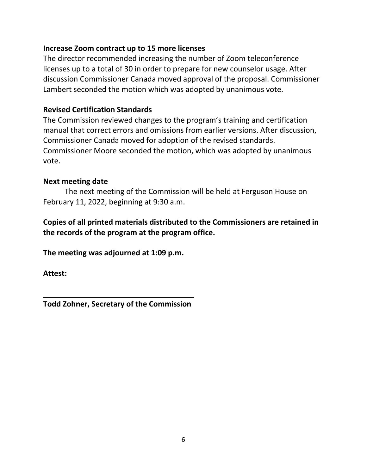### **Increase Zoom contract up to 15 more licenses**

The director recommended increasing the number of Zoom teleconference licenses up to a total of 30 in order to prepare for new counselor usage. After discussion Commissioner Canada moved approval of the proposal. Commissioner Lambert seconded the motion which was adopted by unanimous vote.

### **Revised Certification Standards**

The Commission reviewed changes to the program's training and certification manual that correct errors and omissions from earlier versions. After discussion, Commissioner Canada moved for adoption of the revised standards. Commissioner Moore seconded the motion, which was adopted by unanimous vote.

### **Next meeting date**

The next meeting of the Commission will be held at Ferguson House on February 11, 2022, beginning at 9:30 a.m.

**Copies of all printed materials distributed to the Commissioners are retained in the records of the program at the program office.**

**The meeting was adjourned at 1:09 p.m.**

**Attest:**

**Todd Zohner, Secretary of the Commission**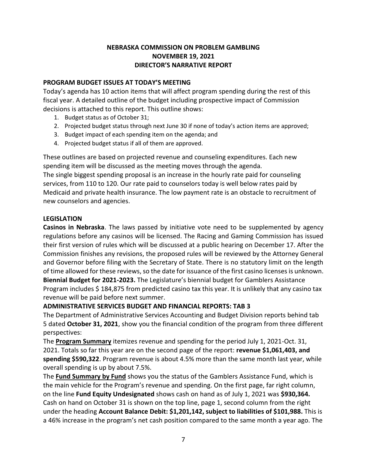#### **NEBRASKA COMMISSION ON PROBLEM GAMBLING NOVEMBER 19, 2021 DIRECTOR'S NARRATIVE REPORT**

#### **PROGRAM BUDGET ISSUES AT TODAY'S MEETING**

Today's agenda has 10 action items that will affect program spending during the rest of this fiscal year. A detailed outline of the budget including prospective impact of Commission decisions is attached to this report. This outline shows:

- 1. Budget status as of October 31;
- 2. Projected budget status through next June 30 if none of today's action items are approved;
- 3. Budget impact of each spending item on the agenda; and
- 4. Projected budget status if all of them are approved.

These outlines are based on projected revenue and counseling expenditures. Each new spending item will be discussed as the meeting moves through the agenda. The single biggest spending proposal is an increase in the hourly rate paid for counseling services, from 110 to 120. Our rate paid to counselors today is well below rates paid by Medicaid and private health insurance. The low payment rate is an obstacle to recruitment of new counselors and agencies.

#### **LEGISLATION**

**Casinos in Nebraska**. The laws passed by initiative vote need to be supplemented by agency regulations before any casinos will be licensed. The Racing and Gaming Commission has issued their first version of rules which will be discussed at a public hearing on December 17. After the Commission finishes any revisions, the proposed rules will be reviewed by the Attorney General and Governor before filing with the Secretary of State. There is no statutory limit on the length of time allowed for these reviews, so the date for issuance of the first casino licenses is unknown. **Biennial Budget for 2021-2023.** The Legislature's biennial budget for Gamblers Assistance Program includes \$ 184,875 from predicted casino tax this year. It is unlikely that any casino tax revenue will be paid before next summer.

#### **ADMINISTRATIVE SERVICES BUDGET AND FINANCIAL REPORTS: TAB 3**

The Department of Administrative Services Accounting and Budget Division reports behind tab 5 dated **October 31, 2021**, show you the financial condition of the program from three different perspectives:

The **Program Summary** itemizes revenue and spending for the period July 1, 2021-Oct. 31, 2021. Totals so far this year are on the second page of the report: **revenue \$1,061,403, and spending \$590,322**. Program revenue is about 4.5% more than the same month last year, while overall spending is up by about 7.5%.

The **Fund Summary by Fund** shows you the status of the Gamblers Assistance Fund, which is the main vehicle for the Program's revenue and spending. On the first page, far right column, on the line **Fund Equity Undesignated** shows cash on hand as of July 1, 2021 was **\$930,364.** Cash on hand on October 31 is shown on the top line, page 1, second column from the right under the heading **Account Balance Debit: \$1,201,142, subject to liabilities of \$101,988.** This is a 46% increase in the program's net cash position compared to the same month a year ago. The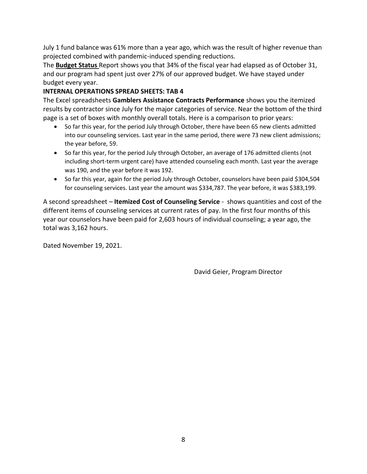July 1 fund balance was 61% more than a year ago, which was the result of higher revenue than projected combined with pandemic-induced spending reductions.

The **Budget Status** Report shows you that 34% of the fiscal year had elapsed as of October 31, and our program had spent just over 27% of our approved budget. We have stayed under budget every year.

#### **INTERNAL OPERATIONS SPREAD SHEETS: TAB 4**

The Excel spreadsheets **Gamblers Assistance Contracts Performance** shows you the itemized results by contractor since July for the major categories of service. Near the bottom of the third page is a set of boxes with monthly overall totals. Here is a comparison to prior years:

- So far this year, for the period July through October, there have been 65 new clients admitted into our counseling services. Last year in the same period, there were 73 new client admissions; the year before, 59.
- So far this year, for the period July through October, an average of 176 admitted clients (not including short-term urgent care) have attended counseling each month. Last year the average was 190, and the year before it was 192.
- So far this year, again for the period July through October, counselors have been paid \$304,504 for counseling services. Last year the amount was \$334,787. The year before, it was \$383,199.

A second spreadsheet – **Itemized Cost of Counseling Service** - shows quantities and cost of the different items of counseling services at current rates of pay. In the first four months of this year our counselors have been paid for 2,603 hours of individual counseling; a year ago, the total was 3,162 hours.

Dated November 19, 2021.

David Geier, Program Director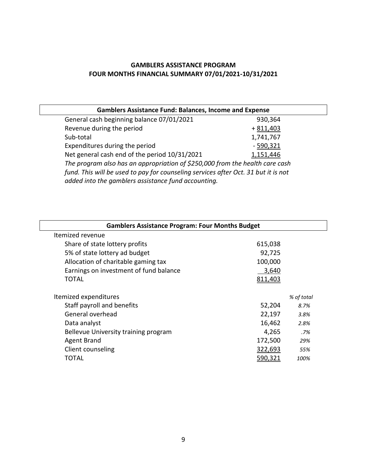### **GAMBLERS ASSISTANCE PROGRAM FOUR MONTHS FINANCIAL SUMMARY 07/01/2021-10/31/2021**

| <b>Gamblers Assistance Fund: Balances, Income and Expense</b>                                                                             |            |
|-------------------------------------------------------------------------------------------------------------------------------------------|------------|
| General cash beginning balance 07/01/2021                                                                                                 | 930,364    |
| Revenue during the period                                                                                                                 | $+811,403$ |
| Sub-total                                                                                                                                 | 1,741,767  |
| Expenditures during the period                                                                                                            | $-590,321$ |
| Net general cash end of the period 10/31/2021                                                                                             | 1,151,446  |
| The program also has an appropriation of \$250,000 from the health care cash                                                              |            |
| fund. This will be used to pay for counseling services after Oct. 31 but it is not<br>added into the gamblers assistance fund accounting. |            |

| <b>Gamblers Assistance Program: Four Months Budget</b> |                |            |
|--------------------------------------------------------|----------------|------------|
| Itemized revenue                                       |                |            |
| Share of state lottery profits                         | 615,038        |            |
| 5% of state lottery ad budget                          | 92,725         |            |
| Allocation of charitable gaming tax                    | 100,000        |            |
| Earnings on investment of fund balance                 | 3,640          |            |
| TOTAL                                                  | <u>811,403</u> |            |
| Itemized expenditures                                  |                | % of total |
| Staff payroll and benefits                             | 52,204         | 8.7%       |
| General overhead                                       | 22,197         | 3.8%       |
| Data analyst                                           | 16,462         | 2.8%       |
| Bellevue University training program                   | 4,265          | .7%        |
| <b>Agent Brand</b>                                     | 172,500        | 29%        |
| Client counseling                                      | 322,693        | 55%        |
| TOTAL                                                  | <u>590,32:</u> | 100%       |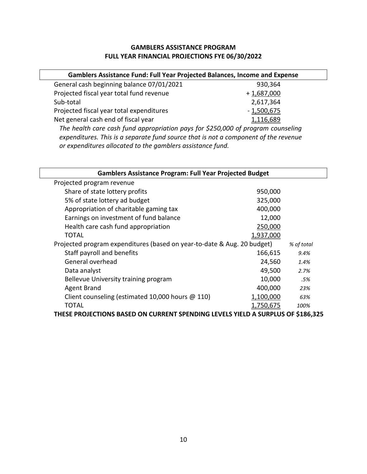#### **GAMBLERS ASSISTANCE PROGRAM FULL YEAR FINANCIAL PROJECTIONS FYE 06/30/2022**

| Gamblers Assistance Fund: Full Year Projected Balances, Income and Expense          |              |
|-------------------------------------------------------------------------------------|--------------|
| General cash beginning balance 07/01/2021                                           | 930,364      |
| Projected fiscal year total fund revenue                                            | $+1,687,000$ |
| Sub-total                                                                           | 2,617,364    |
| Projected fiscal year total expenditures                                            | $-1,500,675$ |
| Net general cash end of fiscal year                                                 | 1,116,689    |
| The health care cash fund appropriation pays for \$250,000 of program counseling    |              |
| expenditures. This is a separate fund source that is not a component of the revenue |              |
| or expenditures allocated to the gamblers assistance fund.                          |              |

| <b>Gamblers Assistance Program: Full Year Projected Budget</b>                  |           |            |
|---------------------------------------------------------------------------------|-----------|------------|
| Projected program revenue                                                       |           |            |
| Share of state lottery profits                                                  | 950,000   |            |
| 5% of state lottery ad budget                                                   | 325,000   |            |
| Appropriation of charitable gaming tax                                          | 400,000   |            |
| Earnings on investment of fund balance                                          | 12,000    |            |
| Health care cash fund appropriation                                             | 250,000   |            |
| <b>TOTAL</b>                                                                    | 1,937,000 |            |
| Projected program expenditures (based on year-to-date & Aug. 20 budget)         |           | % of total |
| Staff payroll and benefits                                                      | 166,615   | 9.4%       |
| General overhead                                                                | 24,560    | 1.4%       |
| Data analyst                                                                    | 49,500    | 2.7%       |
| Bellevue University training program                                            | 10,000    | .5%        |
| <b>Agent Brand</b>                                                              | 400,000   | 23%        |
| Client counseling (estimated 10,000 hours $@110$ )                              | 1,100,000 | 63%        |
| TOTAL                                                                           | 1,750,675 | 100%       |
| THESE PROJECTIONS BASED ON CURRENT SPENDING LEVELS YIELD A SURPLUS OF \$186,325 |           |            |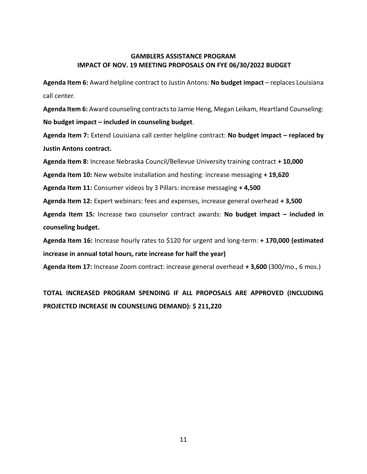#### **GAMBLERS ASSISTANCE PROGRAM IMPACT OF NOV. 19 MEETING PROPOSALS ON FYE 06/30/2022 BUDGET**

**Agenda Item 6:** Award helpline contract to Justin Antons: **No budget impact** – replaces Louisiana call center.

**Agenda Item 6:** Award counseling contracts to Jamie Heng, Megan Leikam, Heartland Counseling: **No budget impact – included in counseling budget**.

**Agenda Item 7:** Extend Louisiana call center helpline contract: **No budget impact – replaced by Justin Antons contract.**

**Agenda Item 8:** Increase Nebraska Council/Bellevue University training contract **+ 10,000**

**Agenda Item 10:** New website installation and hosting: increase messaging **+ 19,620**

**Agenda Item 11:** Consumer videos by 3 Pillars: increase messaging **+ 4,500**

**Agenda Item 12:** Expert webinars: fees and expenses, increase general overhead **+ 3,500**

**Agenda Item 15:** Increase two counselor contract awards: **No budget impact – included in counseling budget.**

**Agenda Item 16:** Increase hourly rates to \$120 for urgent and long-term: **+ 170,000 (estimated increase in annual total hours, rate increase for half the year)**

**Agenda Item 17:** Increase Zoom contract: increase general overhead **+ 3,600** (300/mo., 6 mos.)

# **TOTAL INCREASED PROGRAM SPENDING IF ALL PROPOSALS ARE APPROVED (INCLUDING PROJECTED INCREASE IN COUNSELING DEMAND): \$ 211,220**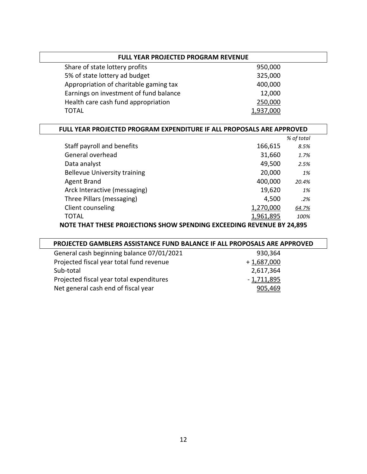| <b>FULL YEAR PROJECTED PROGRAM REVENUE</b> |           |  |
|--------------------------------------------|-----------|--|
| Share of state lottery profits             | 950,000   |  |
| 5% of state lottery ad budget              | 325,000   |  |
| Appropriation of charitable gaming tax     | 400,000   |  |
| Earnings on investment of fund balance     | 12,000    |  |
| Health care cash fund appropriation        | 250,000   |  |
| TOTAL                                      | 1,937,000 |  |

| FULL YEAR PROJECTED PROGRAM EXPENDITURE IF ALL PROPOSALS ARE APPROVED |           |            |
|-----------------------------------------------------------------------|-----------|------------|
|                                                                       |           | % of total |
| Staff payroll and benefits                                            | 166,615   | 8.5%       |
| General overhead                                                      | 31,660    | 1.7%       |
| Data analyst                                                          | 49,500    | 2.5%       |
| <b>Bellevue University training</b>                                   | 20,000    | 1%         |
| Agent Brand                                                           | 400,000   | 20.4%      |
| Arck Interactive (messaging)                                          | 19,620    | 1%         |
| Three Pillars (messaging)                                             | 4,500     | .2%        |
| Client counseling                                                     | 1,270,000 | 64.7%      |
| <b>TOTAL</b>                                                          | 1,961,895 | 100%       |
| NOTE THAT THESE PROJECTIONS SHOW SPENDING EXCEEDING REVENUE BY 24,895 |           |            |

| PROJECTED GAMBLERS ASSISTANCE FUND BALANCE IF ALL PROPOSALS ARE APPROVED |              |
|--------------------------------------------------------------------------|--------------|
| General cash beginning balance 07/01/2021                                | 930,364      |
| Projected fiscal year total fund revenue                                 | $+1,687,000$ |
| Sub-total                                                                | 2,617,364    |
| Projected fiscal year total expenditures                                 | $-1,711,895$ |
| Net general cash end of fiscal year                                      | 905,469      |